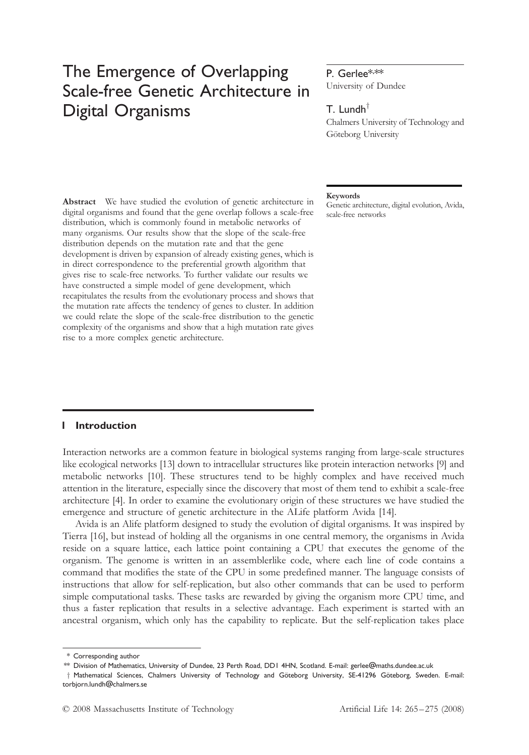# The Emergence of Overlapping Scale-free Genetic Architecture in Digital Organisms

Abstract We have studied the evolution of genetic architecture in digital organisms and found that the gene overlap follows a scale-free distribution, which is commonly found in metabolic networks of many organisms. Our results show that the slope of the scale-free distribution depends on the mutation rate and that the gene development is driven by expansion of already existing genes, which is in direct correspondence to the preferential growth algorithm that gives rise to scale-free networks. To further validate our results we have constructed a simple model of gene development, which recapitulates the results from the evolutionary process and shows that the mutation rate affects the tendency of genes to cluster. In addition we could relate the slope of the scale-free distribution to the genetic complexity of the organisms and show that a high mutation rate gives rise to a more complex genetic architecture.

# P. Gerlee<sup>\*,\*\*</sup>

University of Dundee

# T. Lundh<sup>i</sup>

Chalmers University of Technology and Göteborg University

#### Keywords

Genetic architecture, digital evolution, Avida, scale-free networks

## 1 Introduction

Interaction networks are a common feature in biological systems ranging from large-scale structures like ecological networks [13] down to intracellular structures like protein interaction networks [9] and metabolic networks [10]. These structures tend to be highly complex and have received much attention in the literature, especially since the discovery that most of them tend to exhibit a scale-free architecture [4]. In order to examine the evolutionary origin of these structures we have studied the emergence and structure of genetic architecture in the ALife platform Avida [14].

Avida is an Alife platform designed to study the evolution of digital organisms. It was inspired by Tierra [16], but instead of holding all the organisms in one central memory, the organisms in Avida reside on a square lattice, each lattice point containing a CPU that executes the genome of the organism. The genome is written in an assemblerlike code, where each line of code contains a command that modifies the state of the CPU in some predefined manner. The language consists of instructions that allow for self-replication, but also other commands that can be used to perform simple computational tasks. These tasks are rewarded by giving the organism more CPU time, and thus a faster replication that results in a selective advantage. Each experiment is started with an ancestral organism, which only has the capability to replicate. But the self-replication takes place

<sup>\*</sup> Corresponding author

<sup>\*\*</sup> Division of Mathematics, University of Dundee, 23 Perth Road, DD1 4HN, Scotland. E-mail: gerlee@maths.dundee.ac.uk

 $\dagger$  Mathematical Sciences, Chalmers University of Technology and Göteborg University, SE-41296 Göteborg, Sweden. E-mail: torbjorn.lundh@chalmers.se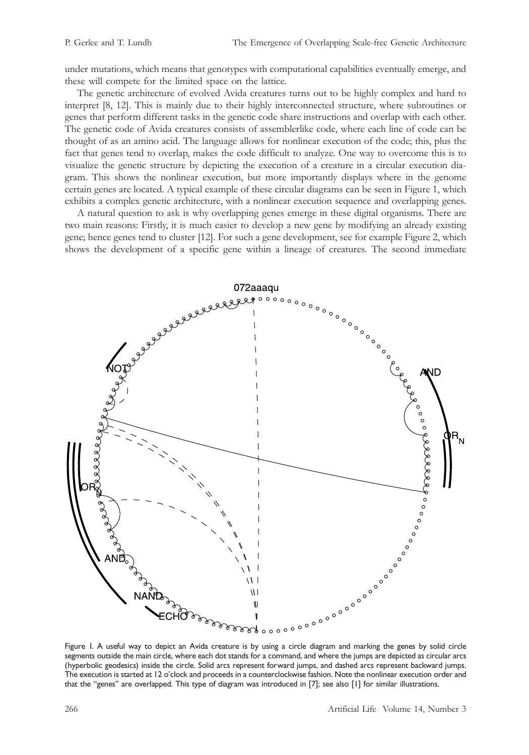under mutations, which means that genotypes with computational capabilities eventually emerge, and these will compete for the limited space on the lattice.

The genetic architecture of evolved Avida creatures turns out to be highly complex and hard to interpret [8, 12]. This is mainly due to their highly interconnected structure, where subroutines or genes that perform different tasks in the genetic code share instructions and overlap with each other. The genetic code of Avida creatures consists of assemblerlike code, where each line of code can be thought of as an amino acid. The language allows for nonlinear execution of the code; this, plus the fact that genes tend to overlap, makes the code difficult to analyze. One way to overcome this is to visualize the genetic structure by depicting the execution of a creature in a circular execution diagram. This shows the nonlinear execution, but more importantly displays where in the genome certain genes are located. A typical example of these circular diagrams can be seen in Figure 1, which exhibits a complex genetic architecture, with a nonlinear execution sequence and overlapping genes.

A natural question to ask is why overlapping genes emerge in these digital organisms. There are two main reasons: Firstly, it is much easier to develop a new gene by modifying an already existing gene; hence genes tend to cluster [12]. For such a gene development, see for example Figure 2, which



segments outside the main circle, where each dot stands for a command, and where the jumps are depicted as circular arcs (hyperbolic geodesics) inside the circle. Solid arcs represent forward jumps, and dashed arcs represent backward jumps. The execution is started at 12 o'clock and proceeds in a counterclockwise fashion. Note the nonlinear execution order and that the ''genes'' are overlapped. This type of diagram was introduced in [7]; see also [1] for similar illustrations.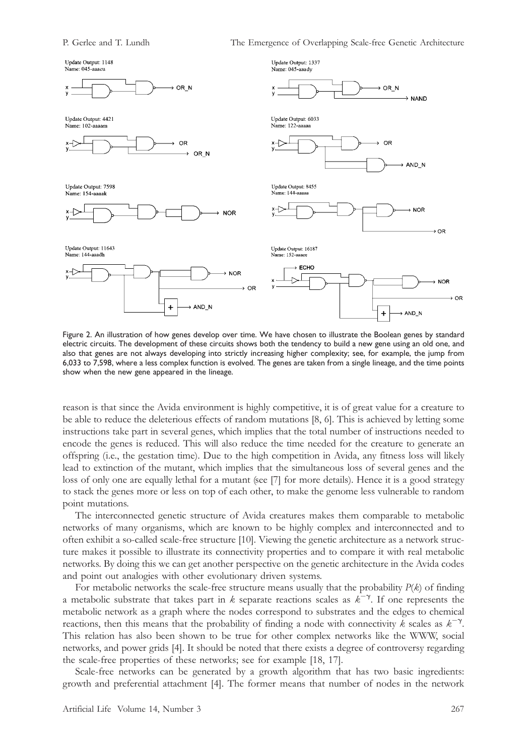P. Gerlee and T. Lundh The Emergence of Overlapping Scale-free Genetic Architecture



Figure 2. An illustration of how genes develop over time. We have chosen to illustrate the Boolean genes by standard electric circuits. The development of these circuits shows both the tendency to build a new gene using an old one, and also that genes are not always developing into strictly increasing higher complexity; see, for example, the jump from 6,033 to 7,598, where a less complex function is evolved. The genes are taken from a single lineage, and the time points show when the new gene appeared in the lineage.

reason is that since the Avida environment is highly competitive, it is of great value for a creature to be able to reduce the deleterious effects of random mutations [8, 6]. This is achieved by letting some instructions take part in several genes, which implies that the total number of instructions needed to encode the genes is reduced. This will also reduce the time needed for the creature to generate an offspring (i.e., the gestation time). Due to the high competition in Avida, any fitness loss will likely lead to extinction of the mutant, which implies that the simultaneous loss of several genes and the loss of only one are equally lethal for a mutant (see [7] for more details). Hence it is a good strategy to stack the genes more or less on top of each other, to make the genome less vulnerable to random point mutations.

The interconnected genetic structure of Avida creatures makes them comparable to metabolic networks of many organisms, which are known to be highly complex and interconnected and to often exhibit a so-called scale-free structure [10]. Viewing the genetic architecture as a network structure makes it possible to illustrate its connectivity properties and to compare it with real metabolic networks. By doing this we can get another perspective on the genetic architecture in the Avida codes and point out analogies with other evolutionary driven systems.

For metabolic networks the scale-free structure means usually that the probability  $P(k)$  of finding a metabolic substrate that takes part in  $k$  separate reactions scales as  $k^{-\gamma}$ . If one represents the metabolic network as a graph where the nodes correspond to substrates and the edges to chemical reactions, then this means that the probability of finding a node with connectivity  $\breve{\vec{k}}$  scales as  $\vec{k}^{-\gamma}$ . This relation has also been shown to be true for other complex networks like the WWW, social networks, and power grids [4]. It should be noted that there exists a degree of controversy regarding the scale-free properties of these networks; see for example [18, 17].

Scale-free networks can be generated by a growth algorithm that has two basic ingredients: growth and preferential attachment [4]. The former means that number of nodes in the network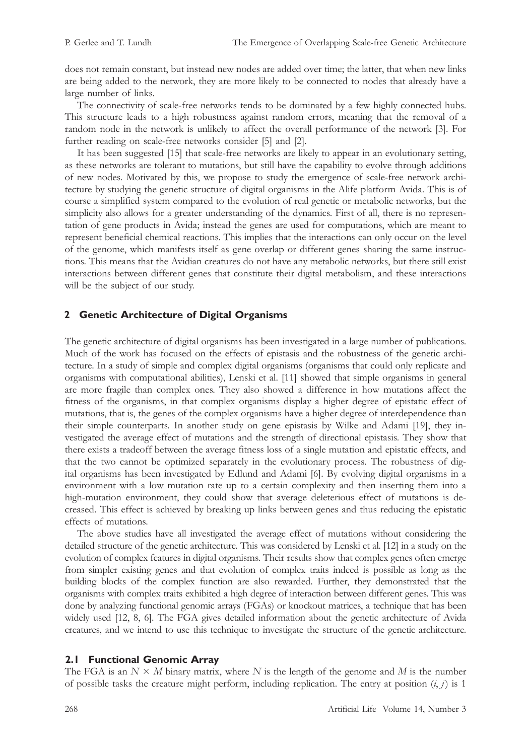does not remain constant, but instead new nodes are added over time; the latter, that when new links are being added to the network, they are more likely to be connected to nodes that already have a large number of links.

The connectivity of scale-free networks tends to be dominated by a few highly connected hubs. This structure leads to a high robustness against random errors, meaning that the removal of a random node in the network is unlikely to affect the overall performance of the network [3]. For further reading on scale-free networks consider [5] and [2].

It has been suggested [15] that scale-free networks are likely to appear in an evolutionary setting, as these networks are tolerant to mutations, but still have the capability to evolve through additions of new nodes. Motivated by this, we propose to study the emergence of scale-free network architecture by studying the genetic structure of digital organisms in the Alife platform Avida. This is of course a simplified system compared to the evolution of real genetic or metabolic networks, but the simplicity also allows for a greater understanding of the dynamics. First of all, there is no representation of gene products in Avida; instead the genes are used for computations, which are meant to represent beneficial chemical reactions. This implies that the interactions can only occur on the level of the genome, which manifests itself as gene overlap or different genes sharing the same instructions. This means that the Avidian creatures do not have any metabolic networks, but there still exist interactions between different genes that constitute their digital metabolism, and these interactions will be the subject of our study.

# 2 Genetic Architecture of Digital Organisms

The genetic architecture of digital organisms has been investigated in a large number of publications. Much of the work has focused on the effects of epistasis and the robustness of the genetic architecture. In a study of simple and complex digital organisms (organisms that could only replicate and organisms with computational abilities), Lenski et al. [11] showed that simple organisms in general are more fragile than complex ones. They also showed a difference in how mutations affect the fitness of the organisms, in that complex organisms display a higher degree of epistatic effect of mutations, that is, the genes of the complex organisms have a higher degree of interdependence than their simple counterparts. In another study on gene epistasis by Wilke and Adami [19], they investigated the average effect of mutations and the strength of directional epistasis. They show that there exists a tradeoff between the average fitness loss of a single mutation and epistatic effects, and that the two cannot be optimized separately in the evolutionary process. The robustness of digital organisms has been investigated by Edlund and Adami [6]. By evolving digital organisms in a environment with a low mutation rate up to a certain complexity and then inserting them into a high-mutation environment, they could show that average deleterious effect of mutations is decreased. This effect is achieved by breaking up links between genes and thus reducing the epistatic effects of mutations.

The above studies have all investigated the average effect of mutations without considering the detailed structure of the genetic architecture. This was considered by Lenski et al. [12] in a study on the evolution of complex features in digital organisms. Their results show that complex genes often emerge from simpler existing genes and that evolution of complex traits indeed is possible as long as the building blocks of the complex function are also rewarded. Further, they demonstrated that the organisms with complex traits exhibited a high degree of interaction between different genes. This was done by analyzing functional genomic arrays (FGAs) or knockout matrices, a technique that has been widely used [12, 8, 6]. The FGA gives detailed information about the genetic architecture of Avida creatures, and we intend to use this technique to investigate the structure of the genetic architecture.

## 2.1 Functional Genomic Array

The FGA is an  $N \times M$  binary matrix, where N is the length of the genome and M is the number of possible tasks the creature might perform, including replication. The entry at position  $(i, j)$  is 1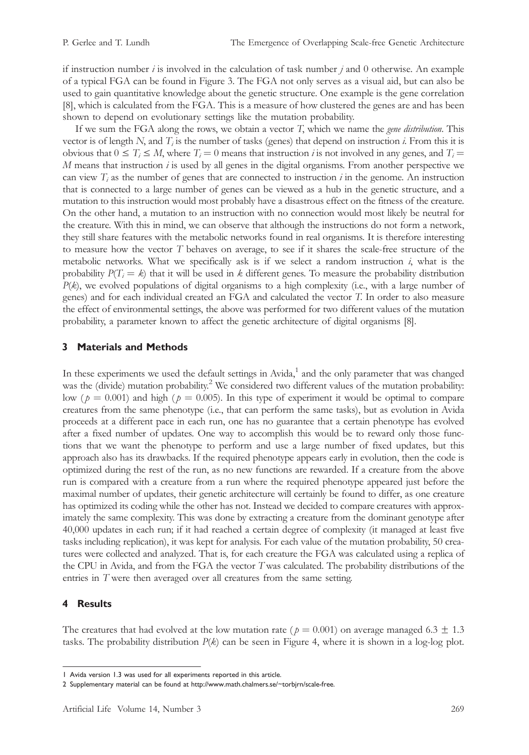if instruction number  $i$  is involved in the calculation of task number  $j$  and 0 otherwise. An example of a typical FGA can be found in Figure 3. The FGA not only serves as a visual aid, but can also be used to gain quantitative knowledge about the genetic structure. One example is the gene correlation [8], which is calculated from the FGA. This is a measure of how clustered the genes are and has been shown to depend on evolutionary settings like the mutation probability.

If we sum the FGA along the rows, we obtain a vector  $T$ , which we name the *gene distribution*. This vector is of length  $N$ , and  $T_i$  is the number of tasks (genes) that depend on instruction *i*. From this it is obvious that  $0 \le T_i \le M$ , where  $T_i = 0$  means that instruction *i* is not involved in any genes, and  $T_i =$  $M$  means that instruction  $i$  is used by all genes in the digital organisms. From another perspective we can view  $T_i$  as the number of genes that are connected to instruction i in the genome. An instruction that is connected to a large number of genes can be viewed as a hub in the genetic structure, and a mutation to this instruction would most probably have a disastrous effect on the fitness of the creature. On the other hand, a mutation to an instruction with no connection would most likely be neutral for the creature. With this in mind, we can observe that although the instructions do not form a network, they still share features with the metabolic networks found in real organisms. It is therefore interesting to measure how the vector T behaves on average, to see if it shares the scale-free structure of the metabolic networks. What we specifically ask is if we select a random instruction  $i$ , what is the probability  $P(T_i = k)$  that it will be used in k different genes. To measure the probability distribution  $P(k)$ , we evolved populations of digital organisms to a high complexity (i.e., with a large number of genes) and for each individual created an FGA and calculated the vector T. In order to also measure the effect of environmental settings, the above was performed for two different values of the mutation probability, a parameter known to affect the genetic architecture of digital organisms [8].

# 3 Materials and Methods

In these experiments we used the default settings in Avida, $<sup>1</sup>$  and the only parameter that was changed</sup> was the (divide) mutation probability.<sup>2</sup> We considered two different values of the mutation probability: low ( $p = 0.001$ ) and high ( $p = 0.005$ ). In this type of experiment it would be optimal to compare creatures from the same phenotype (i.e., that can perform the same tasks), but as evolution in Avida proceeds at a different pace in each run, one has no guarantee that a certain phenotype has evolved after a fixed number of updates. One way to accomplish this would be to reward only those functions that we want the phenotype to perform and use a large number of fixed updates, but this approach also has its drawbacks. If the required phenotype appears early in evolution, then the code is optimized during the rest of the run, as no new functions are rewarded. If a creature from the above run is compared with a creature from a run where the required phenotype appeared just before the maximal number of updates, their genetic architecture will certainly be found to differ, as one creature has optimized its coding while the other has not. Instead we decided to compare creatures with approximately the same complexity. This was done by extracting a creature from the dominant genotype after 40,000 updates in each run; if it had reached a certain degree of complexity (it managed at least five tasks including replication), it was kept for analysis. For each value of the mutation probability, 50 creatures were collected and analyzed. That is, for each creature the FGA was calculated using a replica of the CPU in Avida, and from the FGA the vector T was calculated. The probability distributions of the entries in T were then averaged over all creatures from the same setting.

# 4 Results

The creatures that had evolved at the low mutation rate ( $p = 0.001$ ) on average managed 6.3  $\pm$  1.3 tasks. The probability distribution  $P(k)$  can be seen in Figure 4, where it is shown in a log-log plot.

<sup>1</sup> Avida version 1.3 was used for all experiments reported in this article.

<sup>2</sup> Supplementary material can be found at http://www.math.chalmers.se/~torbjrn/scale-free.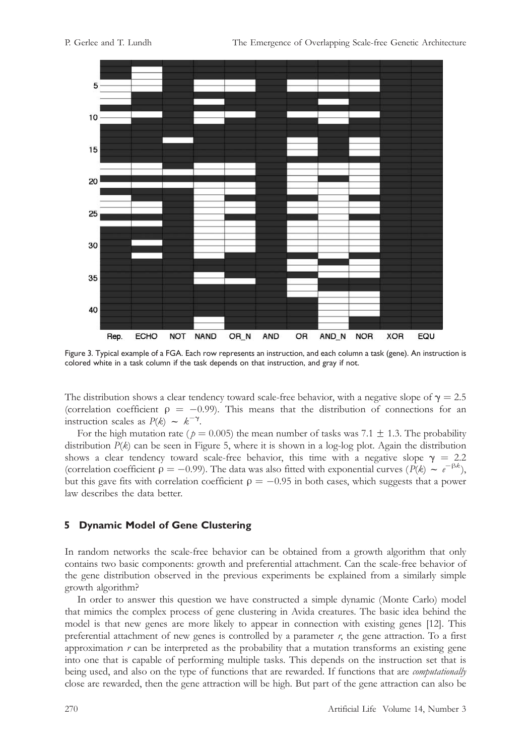

Figure 3. Typical example of a FGA. Each row represents an instruction, and each column a task (gene). An instruction is colored white in a task column if the task depends on that instruction, and gray if not.

The distribution shows a clear tendency toward scale-free behavior, with a negative slope of  $\gamma = 2.5$ (correlation coefficient  $\rho = -0.99$ ). This means that the distribution of connections for an instruction scales as  $P(k) \sim k^{-\gamma}$ .

For the high mutation rate ( $p = 0.005$ ) the mean number of tasks was 7.1  $\pm$  1.3. The probability distribution  $P(k)$  can be seen in Figure 5, where it is shown in a log-log plot. Again the distribution shows a clear tendency toward scale-free behavior, this time with a negative slope  $\gamma = 2.2$ (correlation coefficient  $\rho = -0.99$ ). The data was also fitted with exponential curves  $(P(k) \sim e^{-\beta k})$ , but this gave fits with correlation coefficient  $\rho = -0.95$  in both cases, which suggests that a power law describes the data better.

#### 5 Dynamic Model of Gene Clustering

In random networks the scale-free behavior can be obtained from a growth algorithm that only contains two basic components: growth and preferential attachment. Can the scale-free behavior of the gene distribution observed in the previous experiments be explained from a similarly simple growth algorithm?

In order to answer this question we have constructed a simple dynamic (Monte Carlo) model that mimics the complex process of gene clustering in Avida creatures. The basic idea behind the model is that new genes are more likely to appear in connection with existing genes [12]. This preferential attachment of new genes is controlled by a parameter  $r$ , the gene attraction. To a first approximation  $r$  can be interpreted as the probability that a mutation transforms an existing gene into one that is capable of performing multiple tasks. This depends on the instruction set that is being used, and also on the type of functions that are rewarded. If functions that are computationally close are rewarded, then the gene attraction will be high. But part of the gene attraction can also be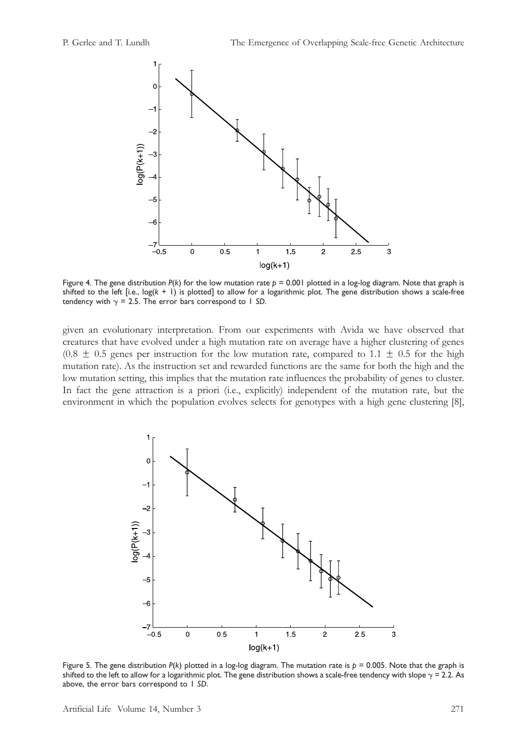

Figure 4. The gene distribution  $P(k)$  for the low mutation rate  $p = 0.001$  plotted in a log-log diagram. Note that graph is shifted to the left [i.e.,  $log(k + 1)$  is plotted] to allow for a logarithmic plot. The gene distribution shows a scale-free tendency with  $y = 2.5$ . The error bars correspond to 1 SD.

given an evolutionary interpretation. From our experiments with Avida we have observed that creatures that have evolved under a high mutation rate on average have a higher clustering of genes  $(0.8 \pm 0.5)$  genes per instruction for the low mutation rate, compared to 1.1  $\pm$  0.5 for the high mutation rate). As the instruction set and rewarded functions are the same for both the high and the low mutation setting, this implies that the mutation rate influences the probability of genes to cluster. In fact the gene attraction is a priori (i.e., explicitly) independent of the mutation rate, but the environment in which the population evolves selects for genotypes with a high gene clustering [8],



Figure 5. The gene distribution  $P(k)$  plotted in a log-log diagram. The mutation rate is  $p = 0.005$ . Note that the graph is shifted to the left to allow for a logarithmic plot. The gene distribution shows a scale-free tendency with slope  $\gamma$  = 2.2. As above, the error bars correspond to 1 SD.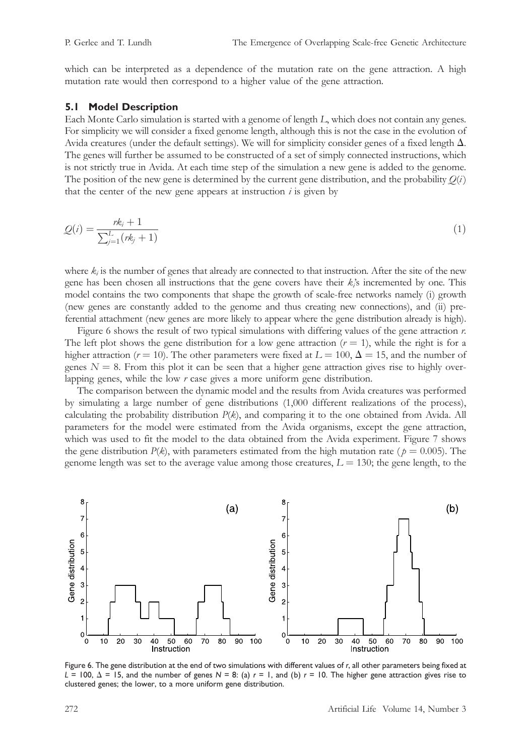which can be interpreted as a dependence of the mutation rate on the gene attraction. A high mutation rate would then correspond to a higher value of the gene attraction.

#### 5.1 Model Description

Each Monte Carlo simulation is started with a genome of length L, which does not contain any genes. For simplicity we will consider a fixed genome length, although this is not the case in the evolution of Avida creatures (under the default settings). We will for simplicity consider genes of a fixed length  $\Delta$ . The genes will further be assumed to be constructed of a set of simply connected instructions, which is not strictly true in Avida. At each time step of the simulation a new gene is added to the genome. The position of the new gene is determined by the current gene distribution, and the probability  $Q(i)$ that the center of the new gene appears at instruction  $i$  is given by

$$
Q(i) = \frac{rk_i + 1}{\sum_{j=1}^{L} (rk_j + 1)}
$$
(1)

where  $k_i$  is the number of genes that already are connected to that instruction. After the site of the new gene has been chosen all instructions that the gene covers have their  $k_i$ 's incremented by one. This model contains the two components that shape the growth of scale-free networks namely (i) growth (new genes are constantly added to the genome and thus creating new connections), and (ii) preferential attachment (new genes are more likely to appear where the gene distribution already is high).

Figure 6 shows the result of two typical simulations with differing values of the gene attraction  $r$ . The left plot shows the gene distribution for a low gene attraction  $(r = 1)$ , while the right is for a higher attraction ( $r = 10$ ). The other parameters were fixed at  $L = 100$ ,  $\Delta = 15$ , and the number of genes  $N = 8$ . From this plot it can be seen that a higher gene attraction gives rise to highly overlapping genes, while the low  $r$  case gives a more uniform gene distribution.

The comparison between the dynamic model and the results from Avida creatures was performed by simulating a large number of gene distributions (1,000 different realizations of the process), calculating the probability distribution  $P(k)$ , and comparing it to the one obtained from Avida. All parameters for the model were estimated from the Avida organisms, except the gene attraction, which was used to fit the model to the data obtained from the Avida experiment. Figure 7 shows the gene distribution  $P(k)$ , with parameters estimated from the high mutation rate ( $p = 0.005$ ). The genome length was set to the average value among those creatures,  $L = 130$ ; the gene length, to the



Figure 6. The gene distribution at the end of two simulations with different values of r, all other parameters being fixed at  $L = 100$ ,  $\Delta = 15$ , and the number of genes  $N = 8$ : (a)  $r = 1$ , and (b)  $r = 10$ . The higher gene attraction gives rise to clustered genes; the lower, to a more uniform gene distribution.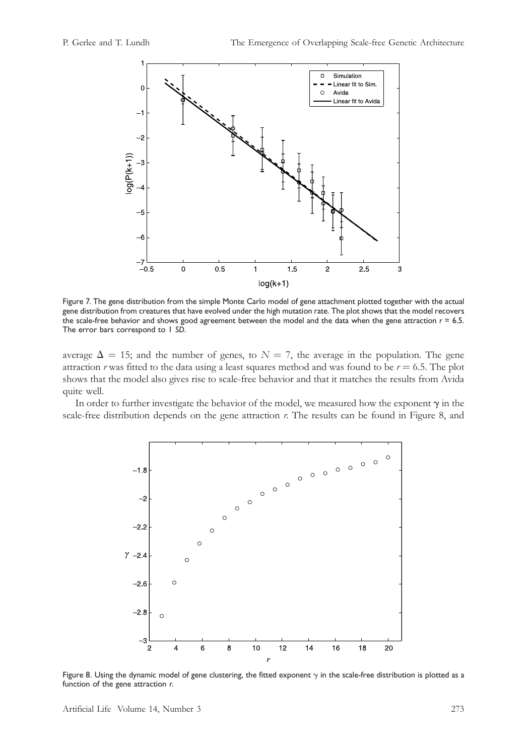

Figure 7. The gene distribution from the simple Monte Carlo model of gene attachment plotted together with the actual gene distribution from creatures that have evolved under the high mutation rate. The plot shows that the model recovers the scale-free behavior and shows good agreement between the model and the data when the gene attraction  $r = 6.5$ . The error bars correspond to 1 SD.

average  $\Delta = 15$ ; and the number of genes, to  $N = 7$ , the average in the population. The gene attraction r was fitted to the data using a least squares method and was found to be  $r = 6.5$ . The plot shows that the model also gives rise to scale-free behavior and that it matches the results from Avida quite well.

In order to further investigate the behavior of the model, we measured how the exponent  $\gamma$  in the scale-free distribution depends on the gene attraction r. The results can be found in Figure 8, and



Figure 8. Using the dynamic model of gene clustering, the fitted exponent  $\gamma$  in the scale-free distribution is plotted as a function of the gene attraction r.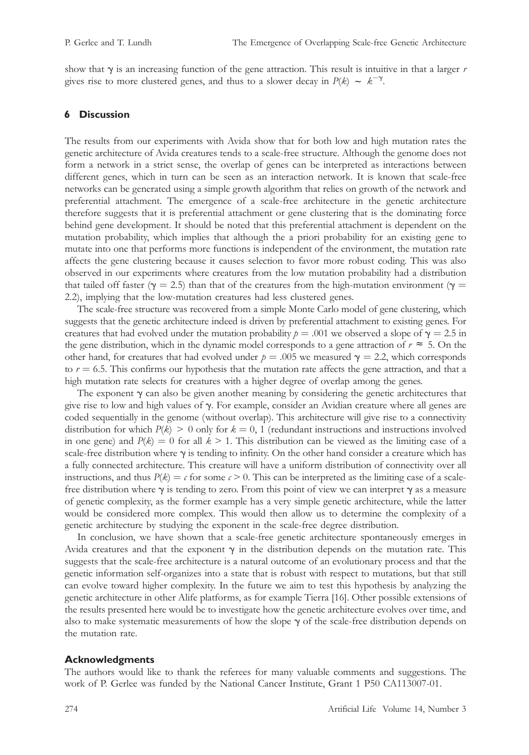show that  $\gamma$  is an increasing function of the gene attraction. This result is intuitive in that a larger  $r$ gives rise to more clustered genes, and thus to a slower decay in  $P(k) \sim k^{-\gamma}$ .

## 6 Discussion

The results from our experiments with Avida show that for both low and high mutation rates the genetic architecture of Avida creatures tends to a scale-free structure. Although the genome does not form a network in a strict sense, the overlap of genes can be interpreted as interactions between different genes, which in turn can be seen as an interaction network. It is known that scale-free networks can be generated using a simple growth algorithm that relies on growth of the network and preferential attachment. The emergence of a scale-free architecture in the genetic architecture therefore suggests that it is preferential attachment or gene clustering that is the dominating force behind gene development. It should be noted that this preferential attachment is dependent on the mutation probability, which implies that although the a priori probability for an existing gene to mutate into one that performs more functions is independent of the environment, the mutation rate affects the gene clustering because it causes selection to favor more robust coding. This was also observed in our experiments where creatures from the low mutation probability had a distribution that tailed off faster ( $\gamma = 2.5$ ) than that of the creatures from the high-mutation environment ( $\gamma =$ 2.2), implying that the low-mutation creatures had less clustered genes.

The scale-free structure was recovered from a simple Monte Carlo model of gene clustering, which suggests that the genetic architecture indeed is driven by preferential attachment to existing genes. For creatures that had evolved under the mutation probability  $p = .001$  we observed a slope of  $\gamma = 2.5$  in the gene distribution, which in the dynamic model corresponds to a gene attraction of  $r \approx 5$ . On the other hand, for creatures that had evolved under  $p = .005$  we measured  $\gamma = 2.2$ , which corresponds to  $r = 6.5$ . This confirms our hypothesis that the mutation rate affects the gene attraction, and that a high mutation rate selects for creatures with a higher degree of overlap among the genes.

The exponent  $\gamma$  can also be given another meaning by considering the genetic architectures that give rise to low and high values of  $\gamma$ . For example, consider an Avidian creature where all genes are coded sequentially in the genome (without overlap). This architecture will give rise to a connectivity distribution for which  $P(k) > 0$  only for  $k = 0, 1$  (redundant instructions and instructions involved in one gene) and  $P(k) = 0$  for all  $k > 1$ . This distribution can be viewed as the limiting case of a scale-free distribution where  $\gamma$  is tending to infinity. On the other hand consider a creature which has a fully connected architecture. This creature will have a uniform distribution of connectivity over all instructions, and thus  $P(k) = c$  for some  $c > 0$ . This can be interpreted as the limiting case of a scalefree distribution where  $\gamma$  is tending to zero. From this point of view we can interpret  $\gamma$  as a measure of genetic complexity, as the former example has a very simple genetic architecture, while the latter would be considered more complex. This would then allow us to determine the complexity of a genetic architecture by studying the exponent in the scale-free degree distribution.

In conclusion, we have shown that a scale-free genetic architecture spontaneously emerges in Avida creatures and that the exponent  $\gamma$  in the distribution depends on the mutation rate. This suggests that the scale-free architecture is a natural outcome of an evolutionary process and that the genetic information self-organizes into a state that is robust with respect to mutations, but that still can evolve toward higher complexity. In the future we aim to test this hypothesis by analyzing the genetic architecture in other Alife platforms, as for example Tierra [16]. Other possible extensions of the results presented here would be to investigate how the genetic architecture evolves over time, and also to make systematic measurements of how the slope  $\gamma$  of the scale-free distribution depends on the mutation rate.

#### Acknowledgments

The authors would like to thank the referees for many valuable comments and suggestions. The work of P. Gerlee was funded by the National Cancer Institute, Grant 1 P50 CA113007-01.